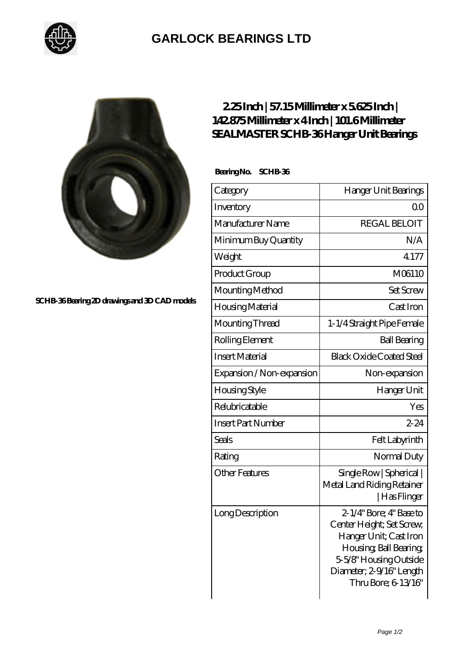

## **[GARLOCK BEARINGS LTD](https://m.letterstopriests.com)**



**[SCHB-36 Bearing 2D drawings and 3D CAD models](https://m.letterstopriests.com/pic-188971.html)**

## **[2.25 Inch | 57.15 Millimeter x 5.625 Inch |](https://m.letterstopriests.com/au-188971-sealmaster-schb-36-hanger-unit-bearings.html) [142.875 Millimeter x 4 Inch | 101.6 Millimeter](https://m.letterstopriests.com/au-188971-sealmaster-schb-36-hanger-unit-bearings.html) [SEALMASTER SCHB-36 Hanger Unit Bearings](https://m.letterstopriests.com/au-188971-sealmaster-schb-36-hanger-unit-bearings.html)**

 **Bearing No. SCHB-36**

| Category                  | Hanger Unit Bearings                                                                                                                                                                     |
|---------------------------|------------------------------------------------------------------------------------------------------------------------------------------------------------------------------------------|
| Inventory                 | Q0                                                                                                                                                                                       |
| Manufacturer Name         | <b>REGAL BELOIT</b>                                                                                                                                                                      |
| Minimum Buy Quantity      | N/A                                                                                                                                                                                      |
| Weight                    | 4177                                                                                                                                                                                     |
| Product Group             | M06110                                                                                                                                                                                   |
| Mounting Method           | <b>Set Screw</b>                                                                                                                                                                         |
| Housing Material          | Cast Iron                                                                                                                                                                                |
| Mounting Thread           | 1-1/4 Straight Pipe Female                                                                                                                                                               |
| Rolling Element           | <b>Ball Bearing</b>                                                                                                                                                                      |
| <b>Insert Material</b>    | <b>Black Oxide Coated Steel</b>                                                                                                                                                          |
| Expansion / Non-expansion | Non-expansion                                                                                                                                                                            |
| <b>Housing Style</b>      | Hanger Unit                                                                                                                                                                              |
| Relubricatable            | Yes                                                                                                                                                                                      |
| <b>Insert Part Number</b> | $2 - 24$                                                                                                                                                                                 |
| Seals                     | Felt Labyrinth                                                                                                                                                                           |
| Rating                    | Normal Duty                                                                                                                                                                              |
| <b>Other Features</b>     | Single Row   Spherical  <br>Metal Land Riding Retainer<br>Has Flinger                                                                                                                    |
| Long Description          | $2-1/4$ " Bore; 4" Base to<br>Center Height; Set Screw,<br>Hanger Unit; Cast Iron<br>Housing, Ball Bearing,<br>5-5/8" Housing Outside<br>Diameter; 2-9/16" Length<br>Thru Bore; 6 13/16" |